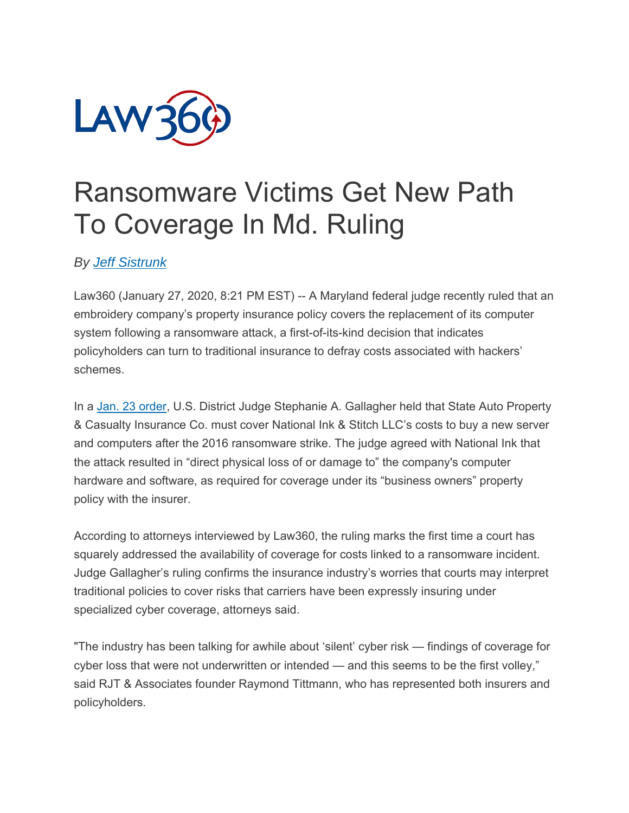

## Ransomware Victims Get New Path To Coverage In Md. Ruling

## *By Jeff Sistrunk*

Law360 (January 27, 2020, 8:21 PM EST) -- A Maryland federal judge recently ruled that an embroidery company's property insurance policy covers the replacement of its computer system following a ransomware attack, a first-of-its-kind decision that indicates policyholders can turn to traditional insurance to defray costs associated with hackers' schemes.

In a Jan. 23 order, U.S. District Judge Stephanie A. Gallagher held that State Auto Property & Casualty Insurance Co. must cover National Ink & Stitch LLC's costs to buy a new server and computers after the 2016 ransomware strike. The judge agreed with National Ink that the attack resulted in "direct physical loss of or damage to" the company's computer hardware and software, as required for coverage under its "business owners" property policy with the insurer.

According to attorneys interviewed by Law360, the ruling marks the first time a court has squarely addressed the availability of coverage for costs linked to a ransomware incident. Judge Gallagher's ruling confirms the insurance industry's worries that courts may interpret traditional policies to cover risks that carriers have been expressly insuring under specialized cyber coverage, attorneys said.

"The industry has been talking for awhile about 'silent' cyber risk — findings of coverage for cyber loss that were not underwritten or intended — and this seems to be the first volley," said RJT & Associates founder Raymond Tittmann, who has represented both insurers and policyholders.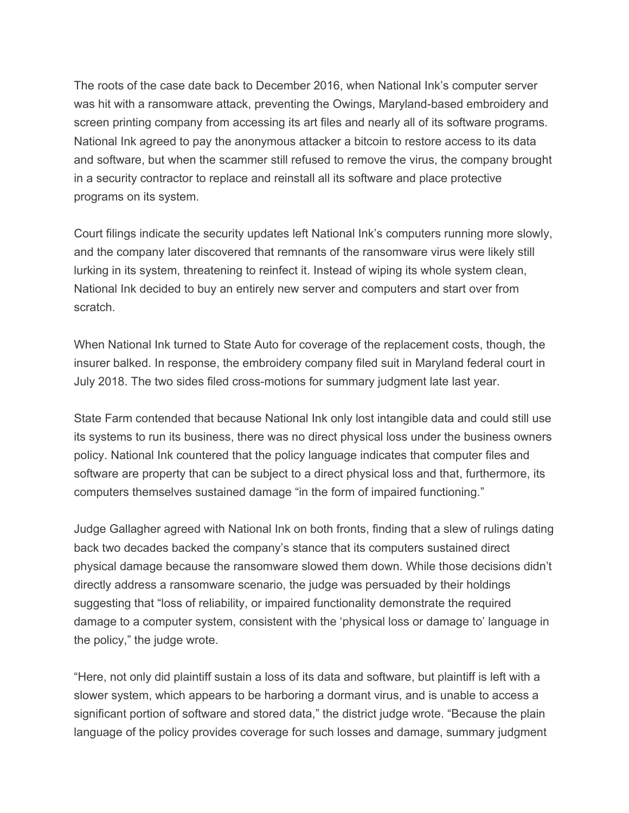The roots of the case date back to December 2016, when National Ink's computer server was hit with a ransomware attack, preventing the Owings, Maryland-based embroidery and screen printing company from accessing its art files and nearly all of its software programs. National Ink agreed to pay the anonymous attacker a bitcoin to restore access to its data and software, but when the scammer still refused to remove the virus, the company brought in a security contractor to replace and reinstall all its software and place protective programs on its system.

Court filings indicate the security updates left National Ink's computers running more slowly, and the company later discovered that remnants of the ransomware virus were likely still lurking in its system, threatening to reinfect it. Instead of wiping its whole system clean, National Ink decided to buy an entirely new server and computers and start over from scratch.

When National Ink turned to State Auto for coverage of the replacement costs, though, the insurer balked. In response, the embroidery company filed suit in Maryland federal court in July 2018. The two sides filed cross-motions for summary judgment late last year.

State Farm contended that because National Ink only lost intangible data and could still use its systems to run its business, there was no direct physical loss under the business owners policy. National Ink countered that the policy language indicates that computer files and software are property that can be subject to a direct physical loss and that, furthermore, its computers themselves sustained damage "in the form of impaired functioning."

Judge Gallagher agreed with National Ink on both fronts, finding that a slew of rulings dating back two decades backed the company's stance that its computers sustained direct physical damage because the ransomware slowed them down. While those decisions didn't directly address a ransomware scenario, the judge was persuaded by their holdings suggesting that "loss of reliability, or impaired functionality demonstrate the required damage to a computer system, consistent with the 'physical loss or damage to' language in the policy," the judge wrote.

"Here, not only did plaintiff sustain a loss of its data and software, but plaintiff is left with a slower system, which appears to be harboring a dormant virus, and is unable to access a significant portion of software and stored data," the district judge wrote. "Because the plain language of the policy provides coverage for such losses and damage, summary judgment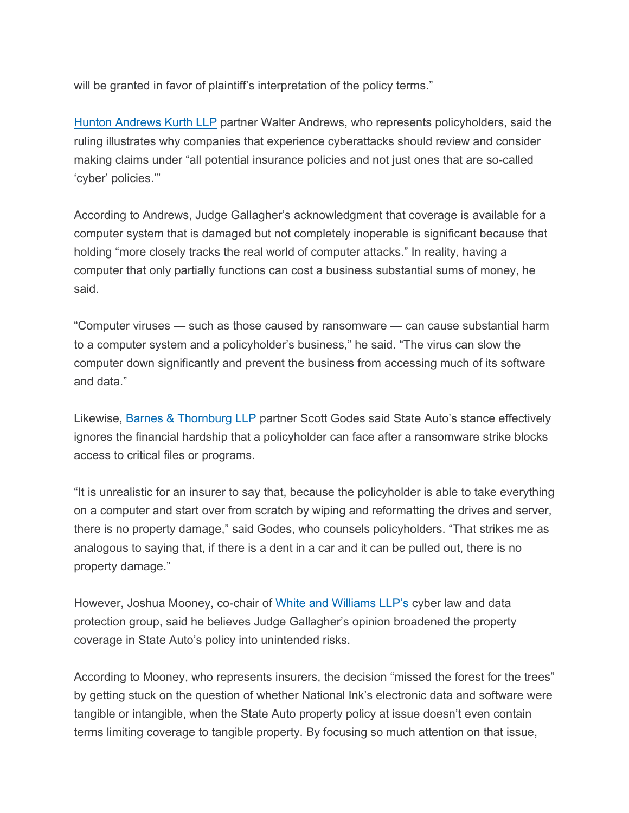will be granted in favor of plaintiff's interpretation of the policy terms."

Hunton Andrews Kurth LLP partner Walter Andrews, who represents policyholders, said the ruling illustrates why companies that experience cyberattacks should review and consider making claims under "all potential insurance policies and not just ones that are so-called 'cyber' policies.'"

According to Andrews, Judge Gallagher's acknowledgment that coverage is available for a computer system that is damaged but not completely inoperable is significant because that holding "more closely tracks the real world of computer attacks." In reality, having a computer that only partially functions can cost a business substantial sums of money, he said.

"Computer viruses — such as those caused by ransomware — can cause substantial harm to a computer system and a policyholder's business," he said. "The virus can slow the computer down significantly and prevent the business from accessing much of its software and data."

Likewise, Barnes & Thornburg LLP partner Scott Godes said State Auto's stance effectively ignores the financial hardship that a policyholder can face after a ransomware strike blocks access to critical files or programs.

"It is unrealistic for an insurer to say that, because the policyholder is able to take everything on a computer and start over from scratch by wiping and reformatting the drives and server, there is no property damage," said Godes, who counsels policyholders. "That strikes me as analogous to saying that, if there is a dent in a car and it can be pulled out, there is no property damage."

However, Joshua Mooney, co-chair of White and Williams LLP's cyber law and data protection group, said he believes Judge Gallagher's opinion broadened the property coverage in State Auto's policy into unintended risks.

According to Mooney, who represents insurers, the decision "missed the forest for the trees" by getting stuck on the question of whether National Ink's electronic data and software were tangible or intangible, when the State Auto property policy at issue doesn't even contain terms limiting coverage to tangible property. By focusing so much attention on that issue,